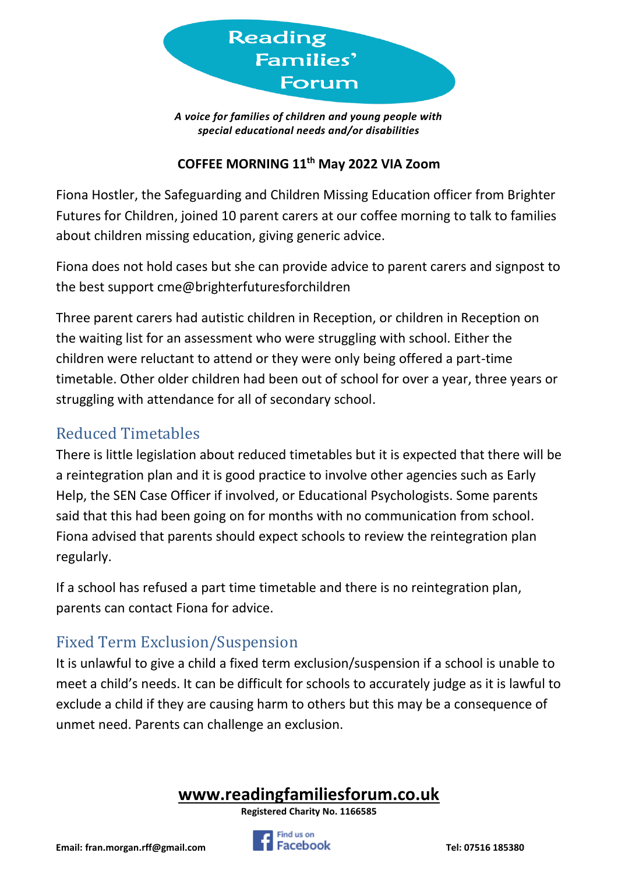

*A voice for families of children and young people with special educational needs and/or disabilities*

#### **COFFEE MORNING 11th May 2022 VIA Zoom**

Fiona Hostler, the Safeguarding and Children Missing Education officer from Brighter Futures for Children, joined 10 parent carers at our coffee morning to talk to families about children missing education, giving generic advice.

Fiona does not hold cases but she can provide advice to parent carers and signpost to the best support cme@brighterfuturesforchildren

Three parent carers had autistic children in Reception, or children in Reception on the waiting list for an assessment who were struggling with school. Either the children were reluctant to attend or they were only being offered a part-time timetable. Other older children had been out of school for over a year, three years or struggling with attendance for all of secondary school.

#### Reduced Timetables

There is little legislation about reduced timetables but it is expected that there will be a reintegration plan and it is good practice to involve other agencies such as Early Help, the SEN Case Officer if involved, or Educational Psychologists. Some parents said that this had been going on for months with no communication from school. Fiona advised that parents should expect schools to review the reintegration plan regularly.

If a school has refused a part time timetable and there is no reintegration plan, parents can contact Fiona for advice.

## Fixed Term Exclusion/Suspension

It is unlawful to give a child a fixed term exclusion/suspension if a school is unable to meet a child's needs. It can be difficult for schools to accurately judge as it is lawful to exclude a child if they are causing harm to others but this may be a consequence of unmet need. Parents can challenge an exclusion.

# **[www.readingfamiliesforum.co.uk](about:blank)**

**Registered Charity No. 1166585**

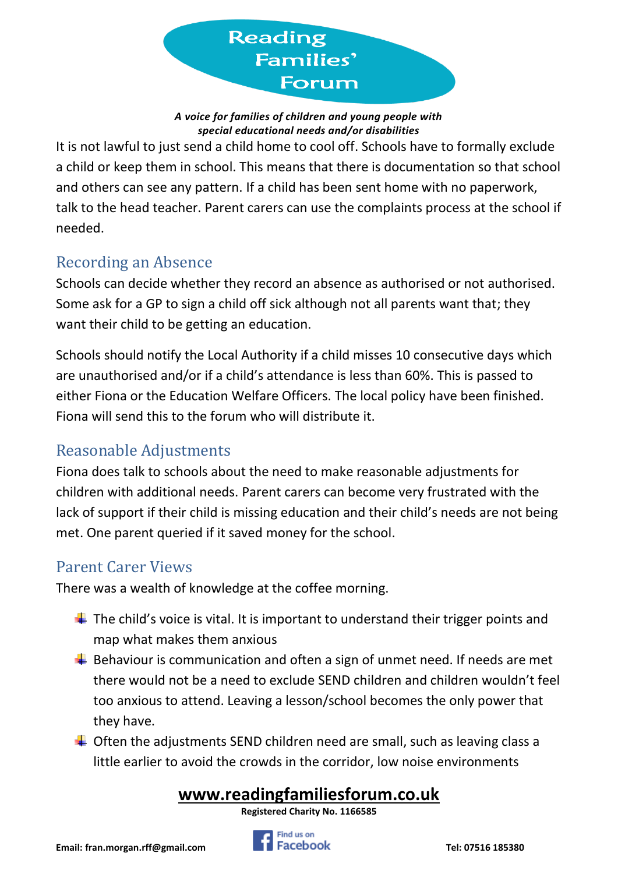

*A voice for families of children and young people with special educational needs and/or disabilities*

It is not lawful to just send a child home to cool off. Schools have to formally exclude a child or keep them in school. This means that there is documentation so that school and others can see any pattern. If a child has been sent home with no paperwork, talk to the head teacher. Parent carers can use the complaints process at the school if needed.

## Recording an Absence

Schools can decide whether they record an absence as authorised or not authorised. Some ask for a GP to sign a child off sick although not all parents want that; they want their child to be getting an education.

Schools should notify the Local Authority if a child misses 10 consecutive days which are unauthorised and/or if a child's attendance is less than 60%. This is passed to either Fiona or the Education Welfare Officers. The local policy have been finished. Fiona will send this to the forum who will distribute it.

## Reasonable Adjustments

Fiona does talk to schools about the need to make reasonable adjustments for children with additional needs. Parent carers can become very frustrated with the lack of support if their child is missing education and their child's needs are not being met. One parent queried if it saved money for the school.

#### Parent Carer Views

There was a wealth of knowledge at the coffee morning.

- $\downarrow$  The child's voice is vital. It is important to understand their trigger points and map what makes them anxious
- $\frac{1}{2}$  Behaviour is communication and often a sign of unmet need. If needs are met there would not be a need to exclude SEND children and children wouldn't feel too anxious to attend. Leaving a lesson/school becomes the only power that they have.
- $\overline{\phantom{a}}$  Often the adjustments SEND children need are small, such as leaving class a little earlier to avoid the crowds in the corridor, low noise environments

# **[www.readingfamiliesforum.co.uk](about:blank)**

**Registered Charity No. 1166585**